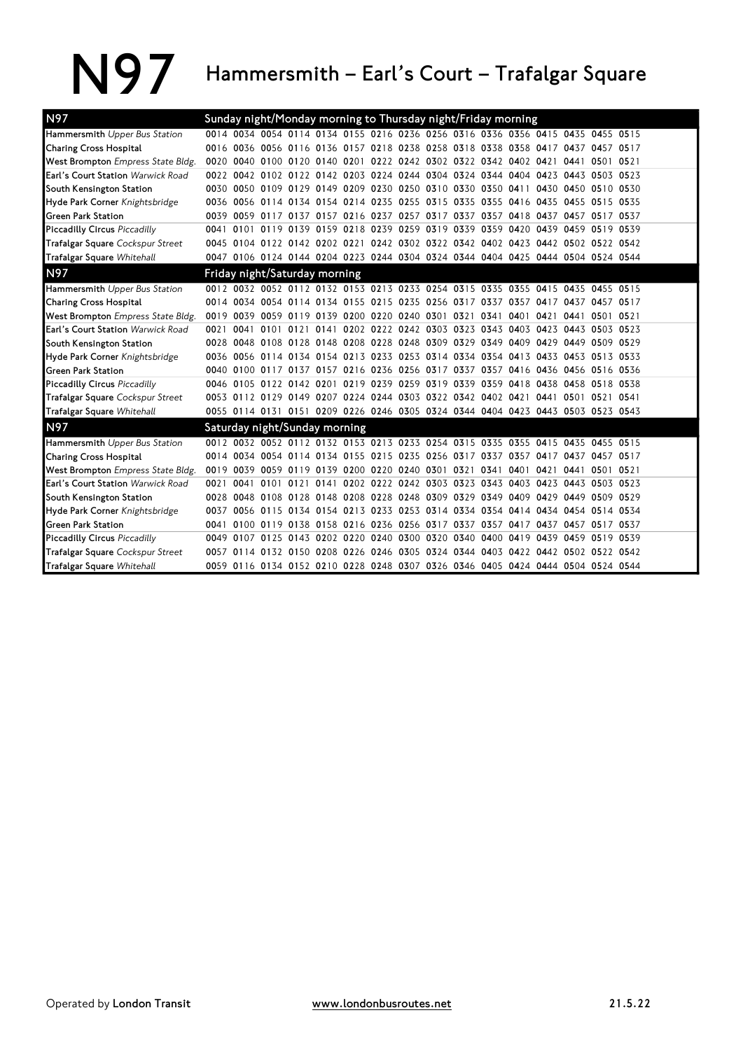## N97 Hammersmith – Earl's Court – Trafalgar Square

| N97                                      |      |  | Sunday night/Monday morning to Thursday night/Friday morning                    |  |  |  |      |                     |      |                     |  |
|------------------------------------------|------|--|---------------------------------------------------------------------------------|--|--|--|------|---------------------|------|---------------------|--|
| Hammersmith Upper Bus Station            |      |  | 0014 0034 0054 0114 0134 0155 0216 0236 0256 0316 0336 0356 0415 0435 0455 0515 |  |  |  |      |                     |      |                     |  |
| Charing Cross Hospital                   |      |  | 0016 0036 0056 0116 0136 0157 0218 0238 0258 0318 0338 0358 0417 0437 0457 0517 |  |  |  |      |                     |      |                     |  |
| West Brompton Empress State Bldg.        |      |  | 0020 0040 0100 0120 0140 0201 0222 0242 0302 0322 0342 0402 0421                |  |  |  |      |                     | 0441 | 0501 0521           |  |
| Earl's Court Station Warwick Road        |      |  | 0022 0042 0102 0122 0142 0203 0224 0244 0304 0324 0344 0404 0423 0443 0503 0523 |  |  |  |      |                     |      |                     |  |
| South Kensington Station                 |      |  | 0030 0050 0109 0129 0149 0209 0230 0250 0310 0330 0350 0411                     |  |  |  |      |                     |      | 0430 0450 0510 0530 |  |
| Hyde Park Corner Knightsbridge           |      |  | 0036 0056 0114 0134 0154 0214 0235 0255 0315 0335 0355 0416 0435 0455 0515 0535 |  |  |  |      |                     |      |                     |  |
| <b>Green Park Station</b>                |      |  | 0039 0059 0117 0137 0157 0216 0237 0257 0317 0337 0357 0418 0437 0457 0517 0537 |  |  |  |      |                     |      |                     |  |
| <b>Piccadilly Circus Piccadilly</b>      |      |  | 0041 0101 0119 0139 0159 0218 0239 0259 0319 0339 0359 0420 0439 0459 0519 0539 |  |  |  |      |                     |      |                     |  |
| Trafalgar Square Cockspur Street         |      |  | 0045 0104 0122 0142 0202 0221 0242 0302 0322 0342 0402 0423 0442 0502 0522 0542 |  |  |  |      |                     |      |                     |  |
| <b>Trafalgar Square Whitehall</b>        |      |  | 0047 0106 0124 0144 0204 0223 0244 0304 0324 0344 0404 0425 0444 0504 0524 0544 |  |  |  |      |                     |      |                     |  |
| N <sub>97</sub>                          |      |  | Friday night/Saturday morning                                                   |  |  |  |      |                     |      |                     |  |
| Hammersmith Upper Bus Station            |      |  | 0012 0032 0052 0112 0132 0153 0213 0233 0254 0315 0335 0355 0415 0435 0455 0515 |  |  |  |      |                     |      |                     |  |
| Charing Cross Hospital                   |      |  | 0014 0034 0054 0114 0134 0155 0215 0235 0256 0317 0337 0357                     |  |  |  |      | 0417 0437 0457 0517 |      |                     |  |
| West Brompton Empress State Bldg.        |      |  | 0019 0039 0059 0119 0139 0200 0220 0240 0301 0321 0341 0401 0421 0441 0501 0521 |  |  |  |      |                     |      |                     |  |
| <b>Earl's Court Station Warwick Road</b> | 0021 |  | 0041 0101 0121 0141 0202 0222 0242 0303 0323 0343 0403 0423 0443 0503 0523      |  |  |  |      |                     |      |                     |  |
| South Kensington Station                 |      |  | 0028 0048 0108 0128 0148 0208 0228 0248 0309 0329 0349 0409 0429 0449 0509 0529 |  |  |  |      |                     |      |                     |  |
| Hyde Park Corner Knightsbridge           |      |  | 0036 0056 0114 0134 0154 0213 0233 0253 0314 0334 0354 0413                     |  |  |  |      | 0433 0453 0513 0533 |      |                     |  |
| <b>Green Park Station</b>                |      |  | 0040 0100 0117 0137 0157 0216 0236 0256 0317 0337 0357 0416 0436 0456 0516 0536 |  |  |  |      |                     |      |                     |  |
| <b>Piccadilly Circus Piccadilly</b>      |      |  | 0046 0105 0122 0142 0201 0219 0239 0259 0319 0339 0359 0418 0438 0458 0518 0538 |  |  |  |      |                     |      |                     |  |
| Trafalgar Square Cockspur Street         |      |  | 0053 0112 0129 0149 0207 0224 0244 0303 0322 0342 0402 0421 0441 0501 0521 0541 |  |  |  |      |                     |      |                     |  |
| Trafalgar Square Whitehall               |      |  | 0055 0114 0131 0151 0209 0226 0246 0305 0324 0344 0404 0423 0443 0503 0523 0543 |  |  |  |      |                     |      |                     |  |
| N97                                      |      |  | Saturday night/Sunday morning                                                   |  |  |  |      |                     |      |                     |  |
| Hammersmith Upper Bus Station            |      |  | 0012 0032 0052 0112 0132 0153 0213 0233 0254 0315 0335 0355 0415 0435 0455 0515 |  |  |  |      |                     |      |                     |  |
| Charing Cross Hospital                   |      |  | 0014 0034 0054 0114 0134 0155 0215 0235 0256 0317 0337 0357                     |  |  |  |      | 0417 0437 0457 0517 |      |                     |  |
| West Brompton Empress State Bldg.        |      |  | 0019 0039 0059 0119 0139 0200 0220 0240 0301 0321 0341 0401                     |  |  |  |      | 0421                |      | 0441 0501 0521      |  |
| Earl's Court Station Warwick Road        | 0021 |  | 0041 0101 0121 0141 0202 0222 0242 0303 0323 0343 0403 0423 0443 0503 0523      |  |  |  |      |                     |      |                     |  |
| South Kensington Station                 |      |  | 0028 0048 0108 0128 0148 0208 0228 0248 0309 0329 0349 0409 0429 0449 0509 0529 |  |  |  |      |                     |      |                     |  |
| Hyde Park Corner Knightsbridge           |      |  | 0037 0056 0115 0134 0154 0213 0233 0253 0314 0334 0354 0414 0434 0454 0514 0534 |  |  |  |      |                     |      |                     |  |
| <b>Green Park Station</b>                |      |  | 0041 0100 0119 0138 0158 0216 0236 0256 0317 0337 0357 0417                     |  |  |  |      | 0437 0457 0517 0537 |      |                     |  |
| <b>Piccadilly Circus Piccadilly</b>      |      |  | 0049 0107 0125 0143 0202 0220 0240 0300 0320 0340 0400                          |  |  |  | 0419 | 0439 0459 0519 0539 |      |                     |  |
| Trafalgar Square Cockspur Street         |      |  | 0057 0114 0132 0150 0208 0226 0246 0305 0324 0344 0403 0422 0442 0502 0522 0542 |  |  |  |      |                     |      |                     |  |
| Trafalgar Square Whitehall               |      |  | 0059 0116 0134 0152 0210 0228 0248 0307 0326 0346 0405 0424 0444 0504 0524 0544 |  |  |  |      |                     |      |                     |  |